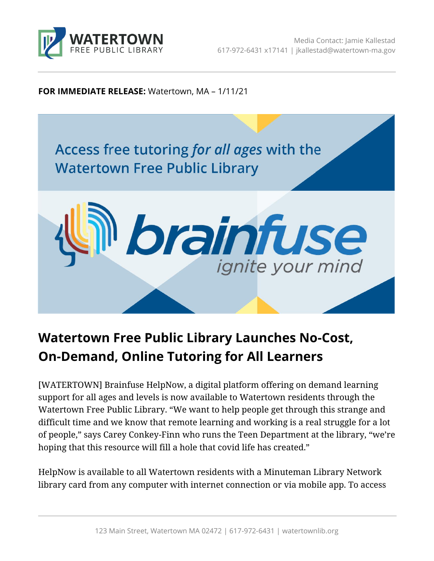

**FOR IMMEDIATE RELEASE:** Watertown, MA – 1/11/21



## **Watertown Free Public Library Launches No-Cost, On-Demand, Online Tutoring for All Learners**

[WATERTOWN] Brainfuse HelpNow, a digital platform offering on demand learning support for all ages and levels is now available to Watertown residents through the Watertown Free Public Library. "We want to help people get through this strange and difficult time and we know that remote learning and working is a real struggle for a lot of people," says Carey Conkey-Finn who runs the Teen Department at the library, "we're hoping that this resource will fill a hole that covid life has created."

HelpNow is available to all Watertown residents with a Minuteman Library Network library card from any computer with internet connection or via mobile app. To access